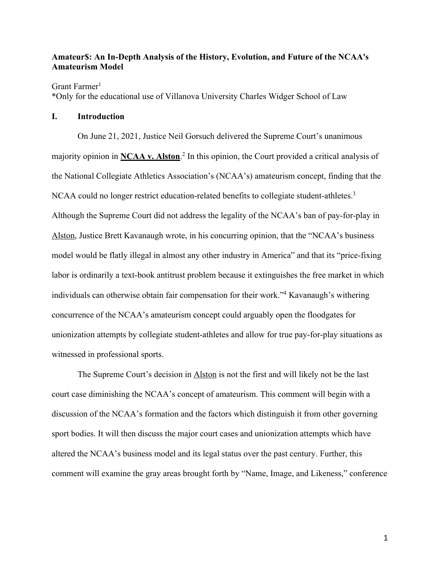# **Amateur\$: An In-Depth Analysis of the History, Evolution, and Future of the NCAA's Amateurism Model**

Grant Farmer<sup>1</sup>

\*Only for the educational use of Villanova University Charles Widger School of Law

# **I. Introduction**

On June 21, 2021, Justice Neil Gorsuch delivered the Supreme Court's unanimous majority opinion in **NCAA v. Alston**. <sup>2</sup> In this opinion, the Court provided a critical analysis of the National Collegiate Athletics Association's (NCAA's) amateurism concept, finding that the NCAA could no longer restrict education-related benefits to collegiate student-athletes.<sup>3</sup> Although the Supreme Court did not address the legality of the NCAA's ban of pay-for-play in Alston, Justice Brett Kavanaugh wrote, in his concurring opinion, that the "NCAA's business model would be flatly illegal in almost any other industry in America" and that its "price-fixing labor is ordinarily a text-book antitrust problem because it extinguishes the free market in which individuals can otherwise obtain fair compensation for their work."4 Kavanaugh's withering concurrence of the NCAA's amateurism concept could arguably open the floodgates for unionization attempts by collegiate student-athletes and allow for true pay-for-play situations as witnessed in professional sports.

The Supreme Court's decision in Alston is not the first and will likely not be the last court case diminishing the NCAA's concept of amateurism. This comment will begin with a discussion of the NCAA's formation and the factors which distinguish it from other governing sport bodies. It will then discuss the major court cases and unionization attempts which have altered the NCAA's business model and its legal status over the past century. Further, this comment will examine the gray areas brought forth by "Name, Image, and Likeness," conference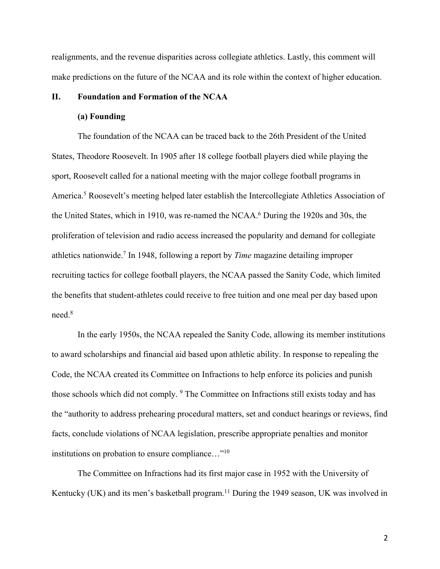realignments, and the revenue disparities across collegiate athletics. Lastly, this comment will make predictions on the future of the NCAA and its role within the context of higher education.

## **II. Foundation and Formation of the NCAA**

#### **(a) Founding**

The foundation of the NCAA can be traced back to the 26th President of the United States, Theodore Roosevelt. In 1905 after 18 college football players died while playing the sport, Roosevelt called for a national meeting with the major college football programs in America.5 Roosevelt's meeting helped later establish the Intercollegiate Athletics Association of the United States, which in 1910, was re-named the NCAA.<sup>6</sup> During the 1920s and 30s, the proliferation of television and radio access increased the popularity and demand for collegiate athletics nationwide.7 In 1948, following a report by *Time* magazine detailing improper recruiting tactics for college football players, the NCAA passed the Sanity Code, which limited the benefits that student-athletes could receive to free tuition and one meal per day based upon need.8

In the early 1950s, the NCAA repealed the Sanity Code, allowing its member institutions to award scholarships and financial aid based upon athletic ability. In response to repealing the Code, the NCAA created its Committee on Infractions to help enforce its policies and punish those schools which did not comply. <sup>9</sup> The Committee on Infractions still exists today and has the "authority to address prehearing procedural matters, set and conduct hearings or reviews, find facts, conclude violations of NCAA legislation, prescribe appropriate penalties and monitor institutions on probation to ensure compliance…"10

The Committee on Infractions had its first major case in 1952 with the University of Kentucky (UK) and its men's basketball program.<sup>11</sup> During the 1949 season, UK was involved in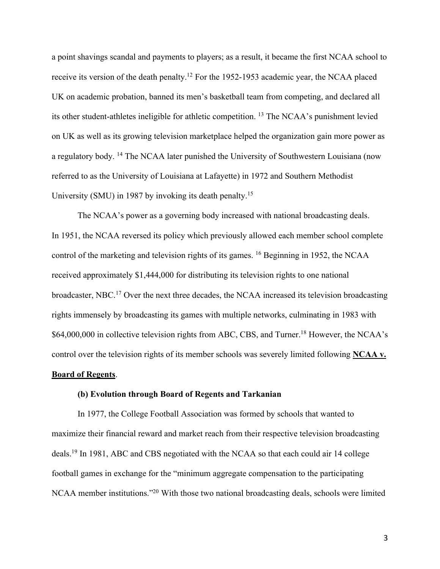a point shavings scandal and payments to players; as a result, it became the first NCAA school to receive its version of the death penalty.12 For the 1952-1953 academic year, the NCAA placed UK on academic probation, banned its men's basketball team from competing, and declared all its other student-athletes ineligible for athletic competition. 13 The NCAA's punishment levied on UK as well as its growing television marketplace helped the organization gain more power as a regulatory body. 14 The NCAA later punished the University of Southwestern Louisiana (now referred to as the University of Louisiana at Lafayette) in 1972 and Southern Methodist University (SMU) in 1987 by invoking its death penalty.15

The NCAA's power as a governing body increased with national broadcasting deals. In 1951, the NCAA reversed its policy which previously allowed each member school complete control of the marketing and television rights of its games. 16 Beginning in 1952, the NCAA received approximately \$1,444,000 for distributing its television rights to one national broadcaster, NBC.17 Over the next three decades, the NCAA increased its television broadcasting rights immensely by broadcasting its games with multiple networks, culminating in 1983 with \$64,000,000 in collective television rights from ABC, CBS, and Turner.<sup>18</sup> However, the NCAA's control over the television rights of its member schools was severely limited following **NCAA v. Board of Regents**.

## **(b) Evolution through Board of Regents and Tarkanian**

In 1977, the College Football Association was formed by schools that wanted to maximize their financial reward and market reach from their respective television broadcasting deals.19 In 1981, ABC and CBS negotiated with the NCAA so that each could air 14 college football games in exchange for the "minimum aggregate compensation to the participating NCAA member institutions."20 With those two national broadcasting deals, schools were limited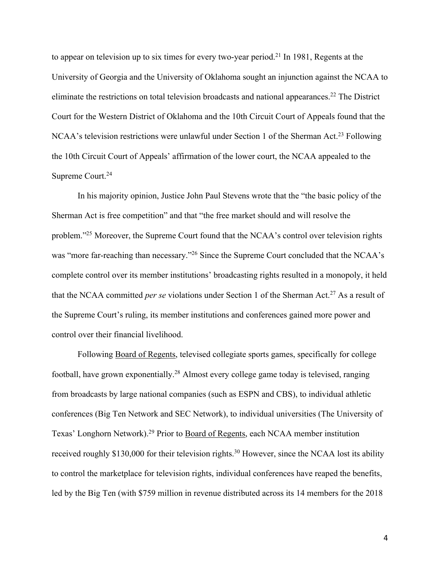to appear on television up to six times for every two-year period.<sup>21</sup> In 1981, Regents at the University of Georgia and the University of Oklahoma sought an injunction against the NCAA to eliminate the restrictions on total television broadcasts and national appearances.<sup>22</sup> The District Court for the Western District of Oklahoma and the 10th Circuit Court of Appeals found that the NCAA's television restrictions were unlawful under Section 1 of the Sherman Act.23 Following the 10th Circuit Court of Appeals' affirmation of the lower court, the NCAA appealed to the Supreme Court. 24

In his majority opinion, Justice John Paul Stevens wrote that the "the basic policy of the Sherman Act is free competition" and that "the free market should and will resolve the problem."25 Moreover, the Supreme Court found that the NCAA's control over television rights was "more far-reaching than necessary."<sup>26</sup> Since the Supreme Court concluded that the NCAA's complete control over its member institutions' broadcasting rights resulted in a monopoly, it held that the NCAA committed *per se* violations under Section 1 of the Sherman Act.<sup>27</sup> As a result of the Supreme Court's ruling, its member institutions and conferences gained more power and control over their financial livelihood.

Following Board of Regents, televised collegiate sports games, specifically for college football, have grown exponentially.28 Almost every college game today is televised, ranging from broadcasts by large national companies (such as ESPN and CBS), to individual athletic conferences (Big Ten Network and SEC Network), to individual universities (The University of Texas' Longhorn Network).<sup>29</sup> Prior to Board of Regents, each NCAA member institution received roughly \$130,000 for their television rights.<sup>30</sup> However, since the NCAA lost its ability to control the marketplace for television rights, individual conferences have reaped the benefits, led by the Big Ten (with \$759 million in revenue distributed across its 14 members for the 2018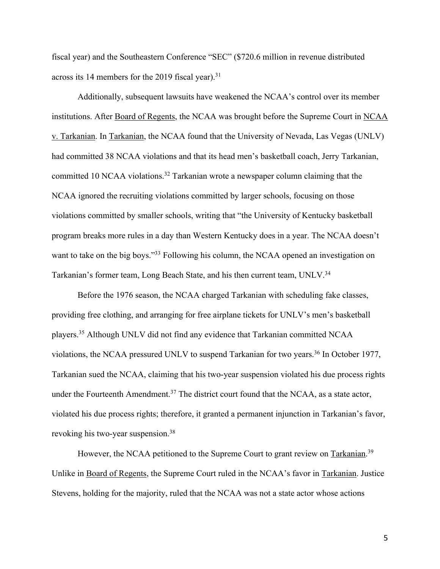fiscal year) and the Southeastern Conference "SEC" (\$720.6 million in revenue distributed across its 14 members for the 2019 fiscal year).<sup>31</sup>

Additionally, subsequent lawsuits have weakened the NCAA's control over its member institutions. After Board of Regents, the NCAA was brought before the Supreme Court in NCAA v. Tarkanian. In Tarkanian, the NCAA found that the University of Nevada, Las Vegas (UNLV) had committed 38 NCAA violations and that its head men's basketball coach, Jerry Tarkanian, committed 10 NCAA violations.<sup>32</sup> Tarkanian wrote a newspaper column claiming that the NCAA ignored the recruiting violations committed by larger schools, focusing on those violations committed by smaller schools, writing that "the University of Kentucky basketball program breaks more rules in a day than Western Kentucky does in a year. The NCAA doesn't want to take on the big boys."<sup>33</sup> Following his column, the NCAA opened an investigation on Tarkanian's former team, Long Beach State, and his then current team, UNLV.34

Before the 1976 season, the NCAA charged Tarkanian with scheduling fake classes, providing free clothing, and arranging for free airplane tickets for UNLV's men's basketball players.35 Although UNLV did not find any evidence that Tarkanian committed NCAA violations, the NCAA pressured UNLV to suspend Tarkanian for two years.<sup>36</sup> In October 1977, Tarkanian sued the NCAA, claiming that his two-year suspension violated his due process rights under the Fourteenth Amendment.<sup>37</sup> The district court found that the NCAA, as a state actor, violated his due process rights; therefore, it granted a permanent injunction in Tarkanian's favor, revoking his two-year suspension.38

However, the NCAA petitioned to the Supreme Court to grant review on Tarkanian.<sup>39</sup> Unlike in Board of Regents, the Supreme Court ruled in the NCAA's favor in Tarkanian. Justice Stevens, holding for the majority, ruled that the NCAA was not a state actor whose actions

5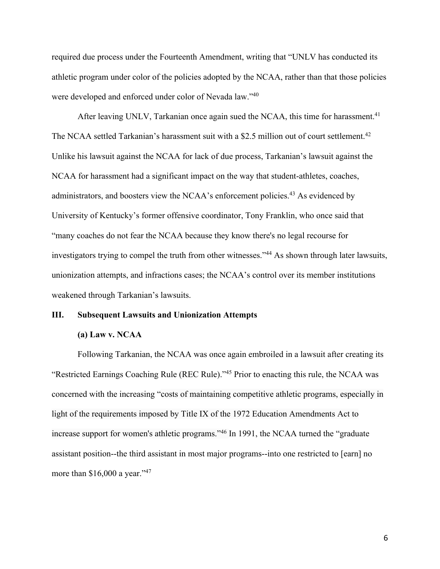required due process under the Fourteenth Amendment, writing that "UNLV has conducted its athletic program under color of the policies adopted by the NCAA, rather than that those policies were developed and enforced under color of Nevada law."<sup>40</sup>

After leaving UNLV, Tarkanian once again sued the NCAA, this time for harassment.<sup>41</sup> The NCAA settled Tarkanian's harassment suit with a \$2.5 million out of court settlement.<sup>42</sup> Unlike his lawsuit against the NCAA for lack of due process, Tarkanian's lawsuit against the NCAA for harassment had a significant impact on the way that student-athletes, coaches, administrators, and boosters view the NCAA's enforcement policies.<sup>43</sup> As evidenced by University of Kentucky's former offensive coordinator, Tony Franklin, who once said that "many coaches do not fear the NCAA because they know there's no legal recourse for investigators trying to compel the truth from other witnesses."44 As shown through later lawsuits, unionization attempts, and infractions cases; the NCAA's control over its member institutions weakened through Tarkanian's lawsuits.

# **III. Subsequent Lawsuits and Unionization Attempts**

### **(a) Law v. NCAA**

Following Tarkanian, the NCAA was once again embroiled in a lawsuit after creating its "Restricted Earnings Coaching Rule (REC Rule)."45 Prior to enacting this rule, the NCAA was concerned with the increasing "costs of maintaining competitive athletic programs, especially in light of the requirements imposed by Title IX of the 1972 Education Amendments Act to increase support for women's athletic programs."<sup>46</sup> In 1991, the NCAA turned the "graduate" assistant position--the third assistant in most major programs--into one restricted to [earn] no more than  $$16,000$  a year."<sup>47</sup>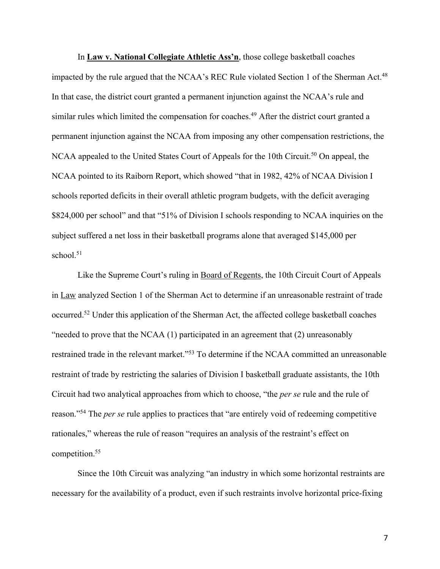In **Law v. National Collegiate Athletic Ass'n**, those college basketball coaches impacted by the rule argued that the NCAA's REC Rule violated Section 1 of the Sherman Act.<sup>48</sup> In that case, the district court granted a permanent injunction against the NCAA's rule and similar rules which limited the compensation for coaches.<sup>49</sup> After the district court granted a permanent injunction against the NCAA from imposing any other compensation restrictions, the NCAA appealed to the United States Court of Appeals for the 10th Circuit.<sup>50</sup> On appeal, the NCAA pointed to its Raiborn Report, which showed "that in 1982, 42% of NCAA Division I schools reported deficits in their overall athletic program budgets, with the deficit averaging \$824,000 per school" and that "51% of Division I schools responding to NCAA inquiries on the subject suffered a net loss in their basketball programs alone that averaged \$145,000 per school.<sup>51</sup>

Like the Supreme Court's ruling in Board of Regents, the 10th Circuit Court of Appeals in Law analyzed Section 1 of the Sherman Act to determine if an unreasonable restraint of trade occurred.52 Under this application of the Sherman Act, the affected college basketball coaches "needed to prove that the NCAA (1) participated in an agreement that (2) unreasonably restrained trade in the relevant market."<sup>53</sup> To determine if the NCAA committed an unreasonable restraint of trade by restricting the salaries of Division I basketball graduate assistants, the 10th Circuit had two analytical approaches from which to choose, "the *per se* rule and the rule of reason."54 The *per se* rule applies to practices that "are entirely void of redeeming competitive rationales," whereas the rule of reason "requires an analysis of the restraint's effect on competition.55

Since the 10th Circuit was analyzing "an industry in which some horizontal restraints are necessary for the availability of a product, even if such restraints involve horizontal price-fixing

7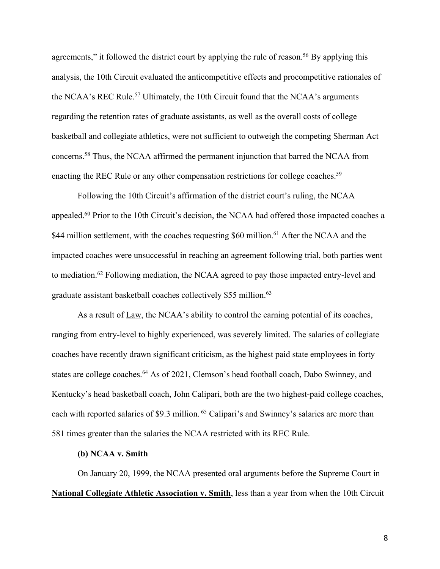agreements," it followed the district court by applying the rule of reason.<sup>56</sup> By applying this analysis, the 10th Circuit evaluated the anticompetitive effects and procompetitive rationales of the NCAA's REC Rule.<sup>57</sup> Ultimately, the 10th Circuit found that the NCAA's arguments regarding the retention rates of graduate assistants, as well as the overall costs of college basketball and collegiate athletics, were not sufficient to outweigh the competing Sherman Act concerns.58 Thus, the NCAA affirmed the permanent injunction that barred the NCAA from enacting the REC Rule or any other compensation restrictions for college coaches.<sup>59</sup>

Following the 10th Circuit's affirmation of the district court's ruling, the NCAA appealed.60 Prior to the 10th Circuit's decision, the NCAA had offered those impacted coaches a \$44 million settlement, with the coaches requesting \$60 million.<sup>61</sup> After the NCAA and the impacted coaches were unsuccessful in reaching an agreement following trial, both parties went to mediation.<sup>62</sup> Following mediation, the NCAA agreed to pay those impacted entry-level and graduate assistant basketball coaches collectively \$55 million.<sup>63</sup>

As a result of Law, the NCAA's ability to control the earning potential of its coaches, ranging from entry-level to highly experienced, was severely limited. The salaries of collegiate coaches have recently drawn significant criticism, as the highest paid state employees in forty states are college coaches.<sup>64</sup> As of 2021, Clemson's head football coach, Dabo Swinney, and Kentucky's head basketball coach, John Calipari, both are the two highest-paid college coaches, each with reported salaries of \$9.3 million. <sup>65</sup> Calipari's and Swinney's salaries are more than 581 times greater than the salaries the NCAA restricted with its REC Rule.

# **(b) NCAA v. Smith**

On January 20, 1999, the NCAA presented oral arguments before the Supreme Court in **National Collegiate Athletic Association v. Smith**, less than a year from when the 10th Circuit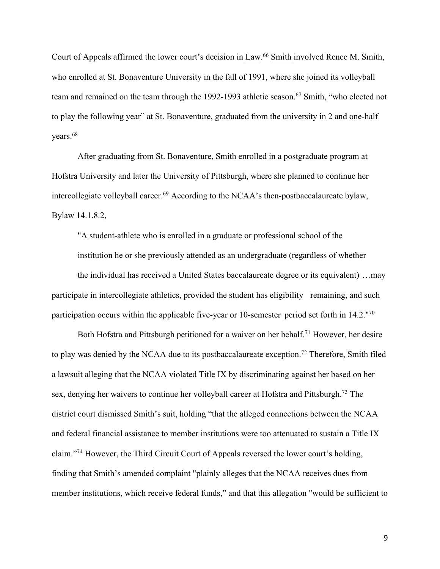Court of Appeals affirmed the lower court's decision in Law.<sup>66</sup> Smith involved Renee M. Smith, who enrolled at St. Bonaventure University in the fall of 1991, where she joined its volleyball team and remained on the team through the 1992-1993 athletic season.<sup>67</sup> Smith, "who elected not to play the following year" at St. Bonaventure, graduated from the university in 2 and one-half years.68

After graduating from St. Bonaventure, Smith enrolled in a postgraduate program at Hofstra University and later the University of Pittsburgh, where she planned to continue her intercollegiate volleyball career.<sup>69</sup> According to the NCAA's then-postbaccalaureate bylaw, Bylaw 14.1.8.2,

"A student-athlete who is enrolled in a graduate or professional school of the institution he or she previously attended as an undergraduate (regardless of whether the individual has received a United States baccalaureate degree or its equivalent) …may participate in intercollegiate athletics, provided the student has eligibility remaining, and such participation occurs within the applicable five-year or 10-semester period set forth in 14.2."70

Both Hofstra and Pittsburgh petitioned for a waiver on her behalf.<sup>71</sup> However, her desire to play was denied by the NCAA due to its postbaccalaureate exception.<sup>72</sup> Therefore, Smith filed a lawsuit alleging that the NCAA violated Title IX by discriminating against her based on her sex, denying her waivers to continue her volleyball career at Hofstra and Pittsburgh.<sup>73</sup> The district court dismissed Smith's suit, holding "that the alleged connections between the NCAA and federal financial assistance to member institutions were too attenuated to sustain a Title IX claim."74 However, the Third Circuit Court of Appeals reversed the lower court's holding, finding that Smith's amended complaint "plainly alleges that the NCAA receives dues from member institutions, which receive federal funds," and that this allegation "would be sufficient to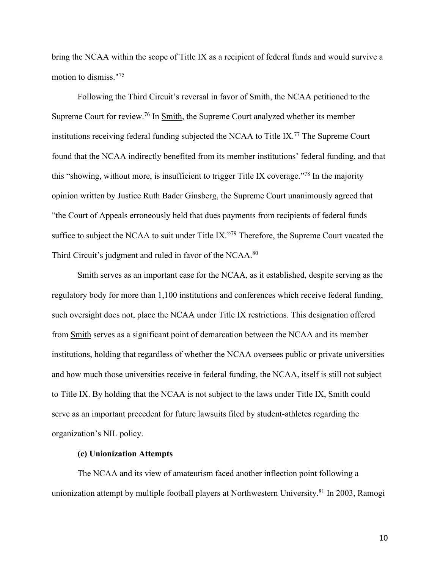bring the NCAA within the scope of Title IX as a recipient of federal funds and would survive a motion to dismiss."75

Following the Third Circuit's reversal in favor of Smith, the NCAA petitioned to the Supreme Court for review.76 In Smith, the Supreme Court analyzed whether its member institutions receiving federal funding subjected the NCAA to Title IX.77 The Supreme Court found that the NCAA indirectly benefited from its member institutions' federal funding, and that this "showing, without more, is insufficient to trigger Title IX coverage."78 In the majority opinion written by Justice Ruth Bader Ginsberg, the Supreme Court unanimously agreed that "the Court of Appeals erroneously held that dues payments from recipients of federal funds suffice to subject the NCAA to suit under Title IX."<sup>79</sup> Therefore, the Supreme Court vacated the Third Circuit's judgment and ruled in favor of the NCAA.<sup>80</sup>

Smith serves as an important case for the NCAA, as it established, despite serving as the regulatory body for more than 1,100 institutions and conferences which receive federal funding, such oversight does not, place the NCAA under Title IX restrictions. This designation offered from Smith serves as a significant point of demarcation between the NCAA and its member institutions, holding that regardless of whether the NCAA oversees public or private universities and how much those universities receive in federal funding, the NCAA, itself is still not subject to Title IX. By holding that the NCAA is not subject to the laws under Title IX, Smith could serve as an important precedent for future lawsuits filed by student-athletes regarding the organization's NIL policy.

## **(c) Unionization Attempts**

The NCAA and its view of amateurism faced another inflection point following a unionization attempt by multiple football players at Northwestern University.81 In 2003, Ramogi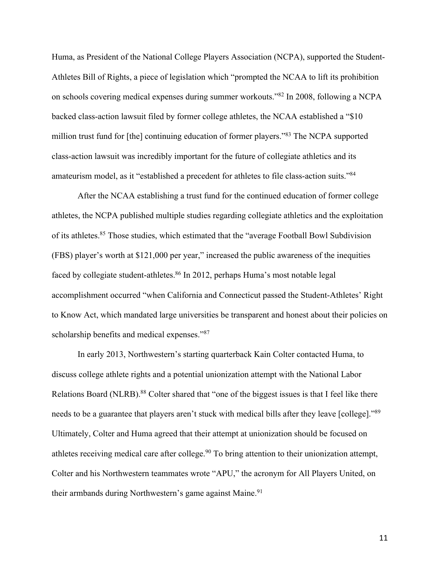Huma, as President of the National College Players Association (NCPA), supported the Student-Athletes Bill of Rights, a piece of legislation which "prompted the NCAA to lift its prohibition on schools covering medical expenses during summer workouts."82 In 2008, following a NCPA backed class-action lawsuit filed by former college athletes, the NCAA established a "\$10 million trust fund for [the] continuing education of former players."83 The NCPA supported class-action lawsuit was incredibly important for the future of collegiate athletics and its amateurism model, as it "established a precedent for athletes to file class-action suits."84

After the NCAA establishing a trust fund for the continued education of former college athletes, the NCPA published multiple studies regarding collegiate athletics and the exploitation of its athletes.85 Those studies, which estimated that the "average Football Bowl Subdivision (FBS) player's worth at \$121,000 per year," increased the public awareness of the inequities faced by collegiate student-athletes.<sup>86</sup> In 2012, perhaps Huma's most notable legal accomplishment occurred "when California and Connecticut passed the Student-Athletes' Right to Know Act, which mandated large universities be transparent and honest about their policies on scholarship benefits and medical expenses."87

In early 2013, Northwestern's starting quarterback Kain Colter contacted Huma, to discuss college athlete rights and a potential unionization attempt with the National Labor Relations Board (NLRB).<sup>88</sup> Colter shared that "one of the biggest issues is that I feel like there needs to be a guarantee that players aren't stuck with medical bills after they leave [college]."<sup>89</sup> Ultimately, Colter and Huma agreed that their attempt at unionization should be focused on athletes receiving medical care after college.<sup>90</sup> To bring attention to their unionization attempt, Colter and his Northwestern teammates wrote "APU," the acronym for All Players United, on their armbands during Northwestern's game against Maine.<sup>91</sup>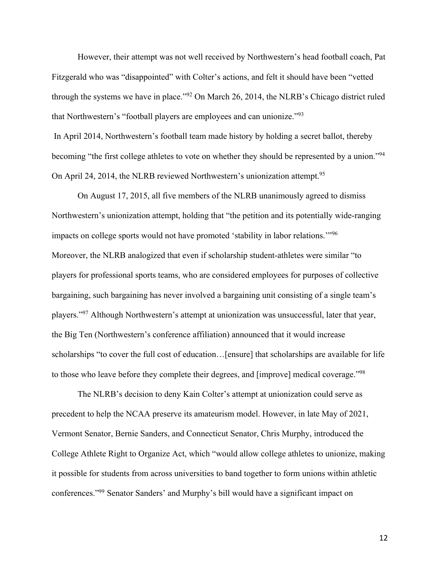However, their attempt was not well received by Northwestern's head football coach, Pat Fitzgerald who was "disappointed" with Colter's actions, and felt it should have been "vetted through the systems we have in place."92 On March 26, 2014, the NLRB's Chicago district ruled that Northwestern's "football players are employees and can unionize."93

In April 2014, Northwestern's football team made history by holding a secret ballot, thereby becoming "the first college athletes to vote on whether they should be represented by a union."<sup>94</sup> On April 24, 2014, the NLRB reviewed Northwestern's unionization attempt.<sup>95</sup>

On August 17, 2015, all five members of the NLRB unanimously agreed to dismiss Northwestern's unionization attempt, holding that "the petition and its potentially wide-ranging impacts on college sports would not have promoted 'stability in labor relations.'"96 Moreover, the NLRB analogized that even if scholarship student-athletes were similar "to players for professional sports teams, who are considered employees for purposes of collective bargaining, such bargaining has never involved a bargaining unit consisting of a single team's players."97 Although Northwestern's attempt at unionization was unsuccessful, later that year, the Big Ten (Northwestern's conference affiliation) announced that it would increase scholarships "to cover the full cost of education…[ensure] that scholarships are available for life to those who leave before they complete their degrees, and [improve] medical coverage."98

The NLRB's decision to deny Kain Colter's attempt at unionization could serve as precedent to help the NCAA preserve its amateurism model. However, in late May of 2021, Vermont Senator, Bernie Sanders, and Connecticut Senator, Chris Murphy, introduced the College Athlete Right to Organize Act, which "would allow college athletes to unionize, making it possible for students from across universities to band together to form unions within athletic conferences."99 Senator Sanders' and Murphy's bill would have a significant impact on

12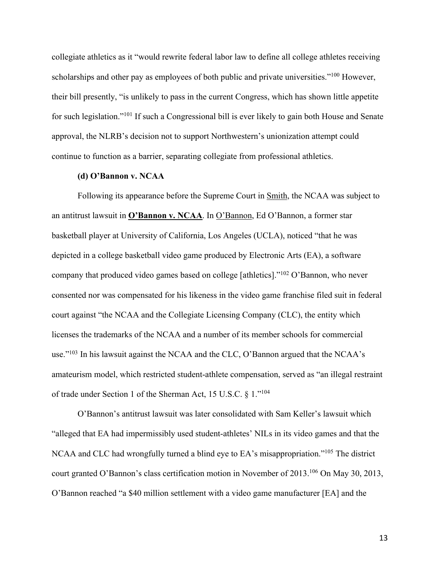collegiate athletics as it "would rewrite federal labor law to define all college athletes receiving scholarships and other pay as employees of both public and private universities."<sup>100</sup> However, their bill presently, "is unlikely to pass in the current Congress, which has shown little appetite for such legislation."101 If such a Congressional bill is ever likely to gain both House and Senate approval, the NLRB's decision not to support Northwestern's unionization attempt could continue to function as a barrier, separating collegiate from professional athletics.

#### **(d) O'Bannon v. NCAA**

Following its appearance before the Supreme Court in **Smith**, the NCAA was subject to an antitrust lawsuit in **O'Bannon v. NCAA**. In O'Bannon, Ed O'Bannon, a former star basketball player at University of California, Los Angeles (UCLA), noticed "that he was depicted in a college basketball video game produced by Electronic Arts (EA), a software company that produced video games based on college [athletics]."102 O'Bannon, who never consented nor was compensated for his likeness in the video game franchise filed suit in federal court against "the NCAA and the Collegiate Licensing Company (CLC), the entity which licenses the trademarks of the NCAA and a number of its member schools for commercial use."<sup>103</sup> In his lawsuit against the NCAA and the CLC, O'Bannon argued that the NCAA's amateurism model, which restricted student-athlete compensation, served as "an illegal restraint of trade under Section 1 of the Sherman Act, 15 U.S.C. § 1."104

O'Bannon's antitrust lawsuit was later consolidated with Sam Keller's lawsuit which "alleged that EA had impermissibly used student-athletes' NILs in its video games and that the NCAA and CLC had wrongfully turned a blind eye to EA's misappropriation."<sup>105</sup> The district court granted O'Bannon's class certification motion in November of 2013.<sup>106</sup> On May 30, 2013, O'Bannon reached "a \$40 million settlement with a video game manufacturer [EA] and the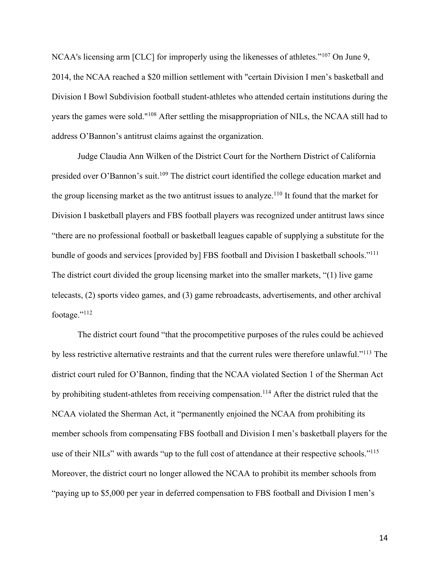NCAA's licensing arm [CLC] for improperly using the likenesses of athletes."<sup>107</sup> On June 9, 2014, the NCAA reached a \$20 million settlement with "certain Division I men's basketball and Division I Bowl Subdivision football student-athletes who attended certain institutions during the years the games were sold."108 After settling the misappropriation of NILs, the NCAA still had to address O'Bannon's antitrust claims against the organization.

Judge Claudia Ann Wilken of the District Court for the Northern District of California presided over O'Bannon's suit.109 The district court identified the college education market and the group licensing market as the two antitrust issues to analyze.<sup>110</sup> It found that the market for Division I basketball players and FBS football players was recognized under antitrust laws since "there are no professional football or basketball leagues capable of supplying a substitute for the bundle of goods and services [provided by] FBS football and Division I basketball schools."<sup>111</sup> The district court divided the group licensing market into the smaller markets, "(1) live game telecasts, (2) sports video games, and (3) game rebroadcasts, advertisements, and other archival footage."112

The district court found "that the procompetitive purposes of the rules could be achieved by less restrictive alternative restraints and that the current rules were therefore unlawful."113 The district court ruled for O'Bannon, finding that the NCAA violated Section 1 of the Sherman Act by prohibiting student-athletes from receiving compensation.<sup>114</sup> After the district ruled that the NCAA violated the Sherman Act, it "permanently enjoined the NCAA from prohibiting its member schools from compensating FBS football and Division I men's basketball players for the use of their NILs" with awards "up to the full cost of attendance at their respective schools."<sup>115</sup> Moreover, the district court no longer allowed the NCAA to prohibit its member schools from "paying up to \$5,000 per year in deferred compensation to FBS football and Division I men's

14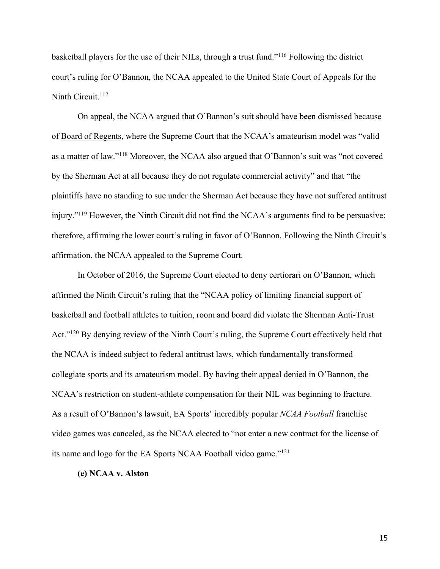basketball players for the use of their NILs, through a trust fund."116 Following the district court's ruling for O'Bannon, the NCAA appealed to the United State Court of Appeals for the Ninth Circuit.<sup>117</sup>

On appeal, the NCAA argued that O'Bannon's suit should have been dismissed because of Board of Regents, where the Supreme Court that the NCAA's amateurism model was "valid as a matter of law."118 Moreover, the NCAA also argued that O'Bannon's suit was "not covered by the Sherman Act at all because they do not regulate commercial activity" and that "the plaintiffs have no standing to sue under the Sherman Act because they have not suffered antitrust injury."119 However, the Ninth Circuit did not find the NCAA's arguments find to be persuasive; therefore, affirming the lower court's ruling in favor of O'Bannon. Following the Ninth Circuit's affirmation, the NCAA appealed to the Supreme Court.

In October of 2016, the Supreme Court elected to deny certiorari on O'Bannon, which affirmed the Ninth Circuit's ruling that the "NCAA policy of limiting financial support of basketball and football athletes to tuition, room and board did violate the Sherman Anti-Trust Act."<sup>120</sup> By denying review of the Ninth Court's ruling, the Supreme Court effectively held that the NCAA is indeed subject to federal antitrust laws, which fundamentally transformed collegiate sports and its amateurism model. By having their appeal denied in O'Bannon, the NCAA's restriction on student-athlete compensation for their NIL was beginning to fracture. As a result of O'Bannon's lawsuit, EA Sports' incredibly popular *NCAA Football* franchise video games was canceled, as the NCAA elected to "not enter a new contract for the license of its name and logo for the EA Sports NCAA Football video game."121

#### **(e) NCAA v. Alston**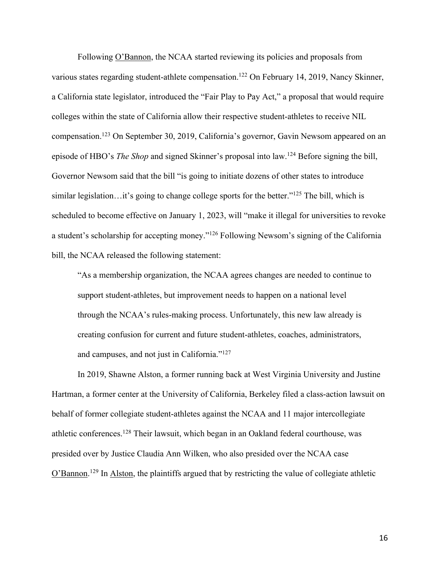Following O'Bannon, the NCAA started reviewing its policies and proposals from various states regarding student-athlete compensation.<sup>122</sup> On February 14, 2019, Nancy Skinner, a California state legislator, introduced the "Fair Play to Pay Act," a proposal that would require colleges within the state of California allow their respective student-athletes to receive NIL compensation.123 On September 30, 2019, California's governor, Gavin Newsom appeared on an episode of HBO's *The Shop* and signed Skinner's proposal into law.124 Before signing the bill, Governor Newsom said that the bill "is going to initiate dozens of other states to introduce similar legislation…it's going to change college sports for the better."<sup>125</sup> The bill, which is scheduled to become effective on January 1, 2023, will "make it illegal for universities to revoke a student's scholarship for accepting money."126 Following Newsom's signing of the California bill, the NCAA released the following statement:

"As a membership organization, the NCAA agrees changes are needed to continue to support student-athletes, but improvement needs to happen on a national level through the NCAA's rules-making process. Unfortunately, this new law already is creating confusion for current and future student-athletes, coaches, administrators, and campuses, and not just in California."127

In 2019, Shawne Alston, a former running back at West Virginia University and Justine Hartman, a former center at the University of California, Berkeley filed a class-action lawsuit on behalf of former collegiate student-athletes against the NCAA and 11 major intercollegiate athletic conferences.128 Their lawsuit, which began in an Oakland federal courthouse, was presided over by Justice Claudia Ann Wilken, who also presided over the NCAA case O'Bannon.<sup>129</sup> In Alston, the plaintiffs argued that by restricting the value of collegiate athletic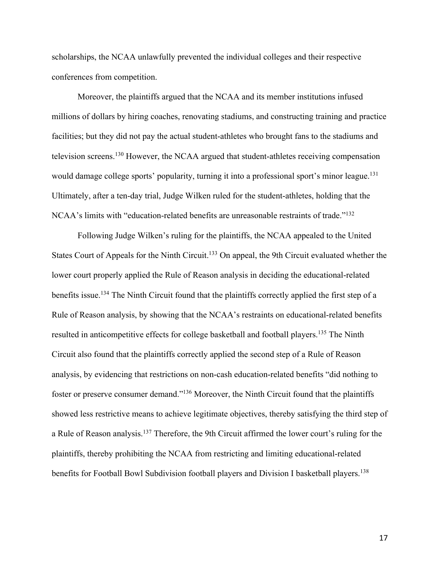scholarships, the NCAA unlawfully prevented the individual colleges and their respective conferences from competition.

Moreover, the plaintiffs argued that the NCAA and its member institutions infused millions of dollars by hiring coaches, renovating stadiums, and constructing training and practice facilities; but they did not pay the actual student-athletes who brought fans to the stadiums and television screens.130 However, the NCAA argued that student-athletes receiving compensation would damage college sports' popularity, turning it into a professional sport's minor league.<sup>131</sup> Ultimately, after a ten-day trial, Judge Wilken ruled for the student-athletes, holding that the NCAA's limits with "education-related benefits are unreasonable restraints of trade."132

Following Judge Wilken's ruling for the plaintiffs, the NCAA appealed to the United States Court of Appeals for the Ninth Circuit.<sup>133</sup> On appeal, the 9th Circuit evaluated whether the lower court properly applied the Rule of Reason analysis in deciding the educational-related benefits issue.<sup>134</sup> The Ninth Circuit found that the plaintiffs correctly applied the first step of a Rule of Reason analysis, by showing that the NCAA's restraints on educational-related benefits resulted in anticompetitive effects for college basketball and football players.135 The Ninth Circuit also found that the plaintiffs correctly applied the second step of a Rule of Reason analysis, by evidencing that restrictions on non-cash education-related benefits "did nothing to foster or preserve consumer demand."136 Moreover, the Ninth Circuit found that the plaintiffs showed less restrictive means to achieve legitimate objectives, thereby satisfying the third step of a Rule of Reason analysis.137 Therefore, the 9th Circuit affirmed the lower court's ruling for the plaintiffs, thereby prohibiting the NCAA from restricting and limiting educational-related benefits for Football Bowl Subdivision football players and Division I basketball players.<sup>138</sup>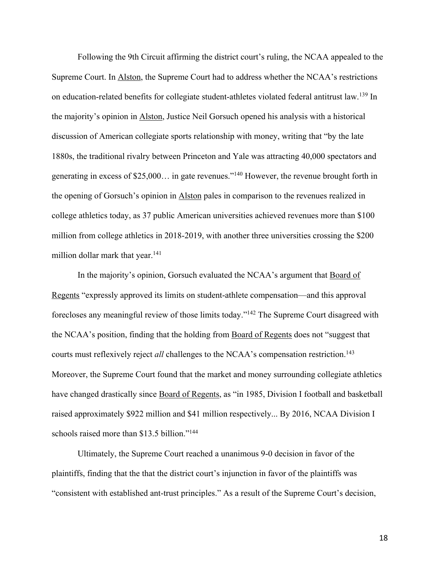Following the 9th Circuit affirming the district court's ruling, the NCAA appealed to the Supreme Court. In Alston, the Supreme Court had to address whether the NCAA's restrictions on education-related benefits for collegiate student-athletes violated federal antitrust law.139 In the majority's opinion in Alston, Justice Neil Gorsuch opened his analysis with a historical discussion of American collegiate sports relationship with money, writing that "by the late 1880s, the traditional rivalry between Princeton and Yale was attracting 40,000 spectators and generating in excess of \$25,000… in gate revenues."140 However, the revenue brought forth in the opening of Gorsuch's opinion in Alston pales in comparison to the revenues realized in college athletics today, as 37 public American universities achieved revenues more than \$100 million from college athletics in 2018-2019, with another three universities crossing the \$200 million dollar mark that year.<sup>141</sup>

In the majority's opinion, Gorsuch evaluated the NCAA's argument that Board of Regents "expressly approved its limits on student-athlete compensation—and this approval forecloses any meaningful review of those limits today."142 The Supreme Court disagreed with the NCAA's position, finding that the holding from Board of Regents does not "suggest that courts must reflexively reject *all* challenges to the NCAA's compensation restriction.<sup>143</sup> Moreover, the Supreme Court found that the market and money surrounding collegiate athletics have changed drastically since Board of Regents, as "in 1985, Division I football and basketball raised approximately \$922 million and \$41 million respectively... By 2016, NCAA Division I schools raised more than \$13.5 billion."<sup>144</sup>

Ultimately, the Supreme Court reached a unanimous 9-0 decision in favor of the plaintiffs, finding that the that the district court's injunction in favor of the plaintiffs was "consistent with established ant-trust principles." As a result of the Supreme Court's decision,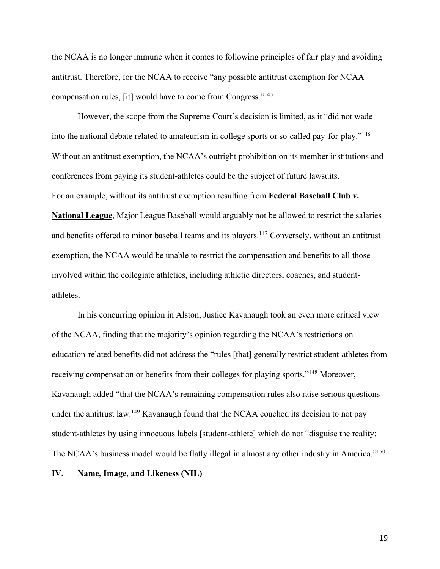the NCAA is no longer immune when it comes to following principles of fair play and avoiding antitrust. Therefore, for the NCAA to receive "any possible antitrust exemption for NCAA compensation rules, [it] would have to come from Congress."145

However, the scope from the Supreme Court's decision is limited, as it "did not wade into the national debate related to amateurism in college sports or so-called pay-for-play."146 Without an antitrust exemption, the NCAA's outright prohibition on its member institutions and conferences from paying its student-athletes could be the subject of future lawsuits. For an example, without its antitrust exemption resulting from **Federal Baseball Club v. National League**, Major League Baseball would arguably not be allowed to restrict the salaries and benefits offered to minor baseball teams and its players.<sup>147</sup> Conversely, without an antitrust exemption, the NCAA would be unable to restrict the compensation and benefits to all those involved within the collegiate athletics, including athletic directors, coaches, and studentathletes.

In his concurring opinion in Alston, Justice Kavanaugh took an even more critical view of the NCAA, finding that the majority's opinion regarding the NCAA's restrictions on education-related benefits did not address the "rules [that] generally restrict student-athletes from receiving compensation or benefits from their colleges for playing sports."148 Moreover, Kavanaugh added "that the NCAA's remaining compensation rules also raise serious questions under the antitrust law.<sup>149</sup> Kavanaugh found that the NCAA couched its decision to not pay student-athletes by using innocuous labels [student-athlete] which do not "disguise the reality: The NCAA's business model would be flatly illegal in almost any other industry in America."<sup>150</sup>

**IV. Name, Image, and Likeness (NIL)**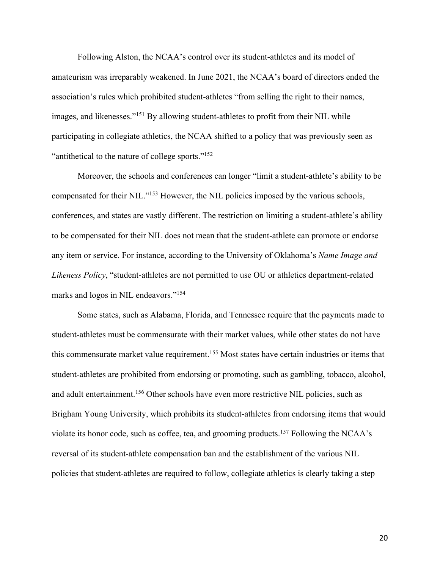Following Alston, the NCAA's control over its student-athletes and its model of amateurism was irreparably weakened. In June 2021, the NCAA's board of directors ended the association's rules which prohibited student-athletes "from selling the right to their names, images, and likenesses."151 By allowing student-athletes to profit from their NIL while participating in collegiate athletics, the NCAA shifted to a policy that was previously seen as "antithetical to the nature of college sports."152

Moreover, the schools and conferences can longer "limit a student-athlete's ability to be compensated for their NIL."153 However, the NIL policies imposed by the various schools, conferences, and states are vastly different. The restriction on limiting a student-athlete's ability to be compensated for their NIL does not mean that the student-athlete can promote or endorse any item or service. For instance, according to the University of Oklahoma's *Name Image and Likeness Policy*, "student-athletes are not permitted to use OU or athletics department-related marks and logos in NIL endeavors."154

Some states, such as Alabama, Florida, and Tennessee require that the payments made to student-athletes must be commensurate with their market values, while other states do not have this commensurate market value requirement.<sup>155</sup> Most states have certain industries or items that student-athletes are prohibited from endorsing or promoting, such as gambling, tobacco, alcohol, and adult entertainment.<sup>156</sup> Other schools have even more restrictive NIL policies, such as Brigham Young University, which prohibits its student-athletes from endorsing items that would violate its honor code, such as coffee, tea, and grooming products.157 Following the NCAA's reversal of its student-athlete compensation ban and the establishment of the various NIL policies that student-athletes are required to follow, collegiate athletics is clearly taking a step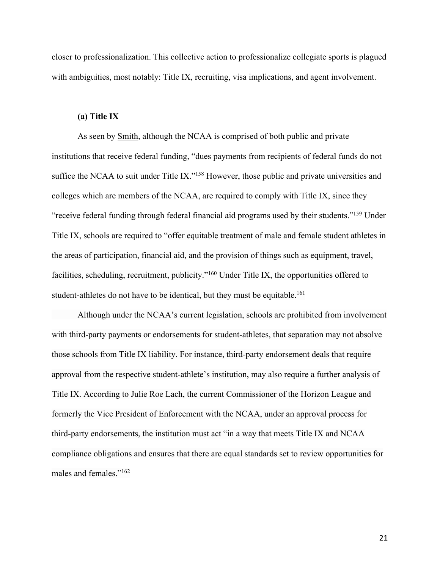closer to professionalization. This collective action to professionalize collegiate sports is plagued with ambiguities, most notably: Title IX, recruiting, visa implications, and agent involvement.

# **(a) Title IX**

As seen by Smith, although the NCAA is comprised of both public and private institutions that receive federal funding, "dues payments from recipients of federal funds do not suffice the NCAA to suit under Title IX."<sup>158</sup> However, those public and private universities and colleges which are members of the NCAA, are required to comply with Title IX, since they "receive federal funding through federal financial aid programs used by their students."159 Under Title IX, schools are required to "offer equitable treatment of male and female student athletes in the areas of participation, financial aid, and the provision of things such as equipment, travel, facilities, scheduling, recruitment, publicity."160 Under Title IX, the opportunities offered to student-athletes do not have to be identical, but they must be equitable.<sup>161</sup>

Although under the NCAA's current legislation, schools are prohibited from involvement with third-party payments or endorsements for student-athletes, that separation may not absolve those schools from Title IX liability. For instance, third-party endorsement deals that require approval from the respective student-athlete's institution, may also require a further analysis of Title IX. According to Julie Roe Lach, the current Commissioner of the Horizon League and formerly the Vice President of Enforcement with the NCAA, under an approval process for third-party endorsements, the institution must act "in a way that meets Title IX and NCAA compliance obligations and ensures that there are equal standards set to review opportunities for males and females."162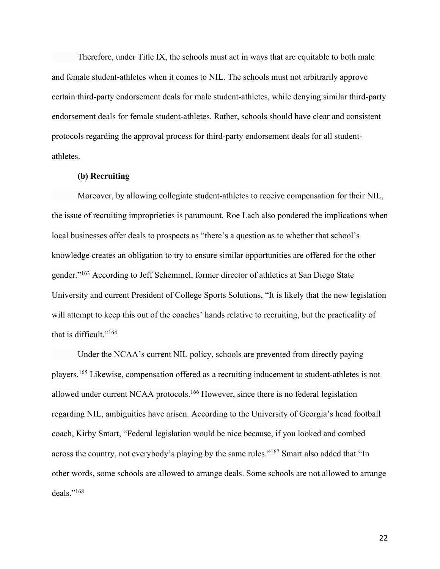Therefore, under Title IX, the schools must act in ways that are equitable to both male and female student-athletes when it comes to NIL. The schools must not arbitrarily approve certain third-party endorsement deals for male student-athletes, while denying similar third-party endorsement deals for female student-athletes. Rather, schools should have clear and consistent protocols regarding the approval process for third-party endorsement deals for all studentathletes.

## **(b) Recruiting**

Moreover, by allowing collegiate student-athletes to receive compensation for their NIL, the issue of recruiting improprieties is paramount. Roe Lach also pondered the implications when local businesses offer deals to prospects as "there's a question as to whether that school's knowledge creates an obligation to try to ensure similar opportunities are offered for the other gender."163 According to Jeff Schemmel, former director of athletics at San Diego State University and current President of College Sports Solutions, "It is likely that the new legislation will attempt to keep this out of the coaches' hands relative to recruiting, but the practicality of that is difficult."<sup>164</sup>

Under the NCAA's current NIL policy, schools are prevented from directly paying players.165 Likewise, compensation offered as a recruiting inducement to student-athletes is not allowed under current NCAA protocols.<sup>166</sup> However, since there is no federal legislation regarding NIL, ambiguities have arisen. According to the University of Georgia's head football coach, Kirby Smart, "Federal legislation would be nice because, if you looked and combed across the country, not everybody's playing by the same rules."<sup>167</sup> Smart also added that "In other words, some schools are allowed to arrange deals. Some schools are not allowed to arrange deals."168

22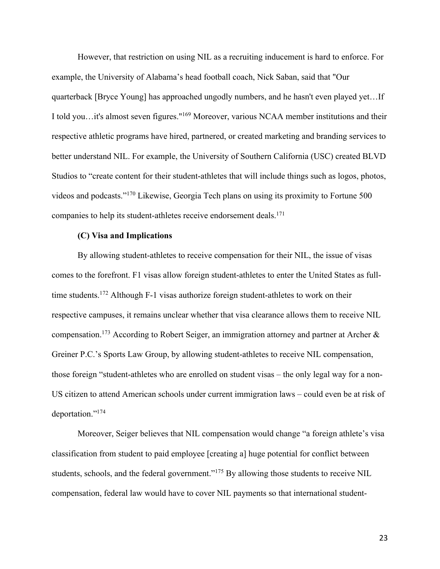However, that restriction on using NIL as a recruiting inducement is hard to enforce. For example, the University of Alabama's head football coach, Nick Saban, said that "Our quarterback [Bryce Young] has approached ungodly numbers, and he hasn't even played yet…If I told you…it's almost seven figures."169 Moreover, various NCAA member institutions and their respective athletic programs have hired, partnered, or created marketing and branding services to better understand NIL. For example, the University of Southern California (USC) created BLVD Studios to "create content for their student-athletes that will include things such as logos, photos, videos and podcasts."170 Likewise, Georgia Tech plans on using its proximity to Fortune 500 companies to help its student-athletes receive endorsement deals.<sup>171</sup>

## **(C) Visa and Implications**

By allowing student-athletes to receive compensation for their NIL, the issue of visas comes to the forefront. F1 visas allow foreign student-athletes to enter the United States as fulltime students.<sup>172</sup> Although F-1 visas authorize foreign student-athletes to work on their respective campuses, it remains unclear whether that visa clearance allows them to receive NIL compensation.173 According to Robert Seiger, an immigration attorney and partner at Archer & Greiner P.C.'s Sports Law Group, by allowing student-athletes to receive NIL compensation, those foreign "student-athletes who are enrolled on student visas – the only legal way for a non-US citizen to attend American schools under current immigration laws – could even be at risk of deportation."174

Moreover, Seiger believes that NIL compensation would change "a foreign athlete's visa classification from student to paid employee [creating a] huge potential for conflict between students, schools, and the federal government."<sup>175</sup> By allowing those students to receive NIL compensation, federal law would have to cover NIL payments so that international student-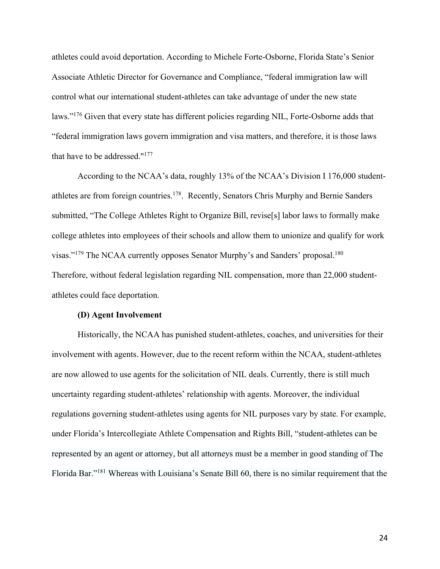athletes could avoid deportation. According to Michele Forte-Osborne, Florida State's Senior Associate Athletic Director for Governance and Compliance, "federal immigration law will control what our international student-athletes can take advantage of under the new state laws."<sup>176</sup> Given that every state has different policies regarding NIL, Forte-Osborne adds that "federal immigration laws govern immigration and visa matters, and therefore, it is those laws that have to be addressed."177

According to the NCAA's data, roughly 13% of the NCAA's Division I 176,000 studentathletes are from foreign countries.178. Recently, Senators Chris Murphy and Bernie Sanders submitted, "The College Athletes Right to Organize Bill, revise[s] labor laws to formally make college athletes into employees of their schools and allow them to unionize and qualify for work visas."<sup>179</sup> The NCAA currently opposes Senator Murphy's and Sanders' proposal.<sup>180</sup> Therefore, without federal legislation regarding NIL compensation, more than 22,000 studentathletes could face deportation.

#### **(D) Agent Involvement**

Historically, the NCAA has punished student-athletes, coaches, and universities for their involvement with agents. However, due to the recent reform within the NCAA, student-athletes are now allowed to use agents for the solicitation of NIL deals. Currently, there is still much uncertainty regarding student-athletes' relationship with agents. Moreover, the individual regulations governing student-athletes using agents for NIL purposes vary by state. For example, under Florida's Intercollegiate Athlete Compensation and Rights Bill, "student-athletes can be represented by an agent or attorney, but all attorneys must be a member in good standing of The Florida Bar."181 Whereas with Louisiana's Senate Bill 60, there is no similar requirement that the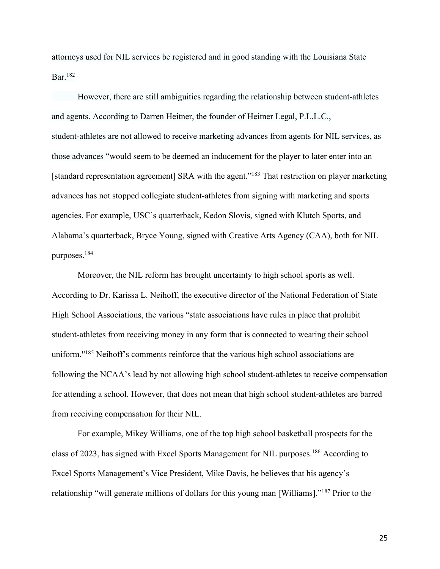attorneys used for NIL services be registered and in good standing with the Louisiana State Bar.182

However, there are still ambiguities regarding the relationship between student-athletes and agents. According to Darren Heitner, the founder of Heitner Legal, P.L.L.C., student-athletes are not allowed to receive marketing advances from agents for NIL services, as those advances "would seem to be deemed an inducement for the player to later enter into an [standard representation agreement] SRA with the agent."183 That restriction on player marketing advances has not stopped collegiate student-athletes from signing with marketing and sports agencies. For example, USC's quarterback, Kedon Slovis, signed with Klutch Sports, and Alabama's quarterback, Bryce Young, signed with Creative Arts Agency (CAA), both for NIL purposes.184

Moreover, the NIL reform has brought uncertainty to high school sports as well. According to Dr. Karissa L. Neihoff, the executive director of the National Federation of State High School Associations, the various "state associations have rules in place that prohibit student-athletes from receiving money in any form that is connected to wearing their school uniform."<sup>185</sup> Neihoff's comments reinforce that the various high school associations are following the NCAA's lead by not allowing high school student-athletes to receive compensation for attending a school. However, that does not mean that high school student-athletes are barred from receiving compensation for their NIL.

For example, Mikey Williams, one of the top high school basketball prospects for the class of 2023, has signed with Excel Sports Management for NIL purposes.186 According to Excel Sports Management's Vice President, Mike Davis, he believes that his agency's relationship "will generate millions of dollars for this young man [Williams]."187 Prior to the

25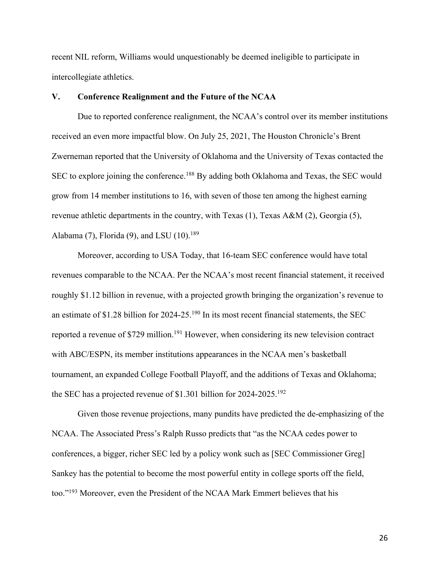recent NIL reform, Williams would unquestionably be deemed ineligible to participate in intercollegiate athletics.

# **V. Conference Realignment and the Future of the NCAA**

Due to reported conference realignment, the NCAA's control over its member institutions received an even more impactful blow. On July 25, 2021, The Houston Chronicle's Brent Zwerneman reported that the University of Oklahoma and the University of Texas contacted the SEC to explore joining the conference.<sup>188</sup> By adding both Oklahoma and Texas, the SEC would grow from 14 member institutions to 16, with seven of those ten among the highest earning revenue athletic departments in the country, with Texas (1), Texas A&M (2), Georgia (5), Alabama (7), Florida (9), and LSU (10).<sup>189</sup>

Moreover, according to USA Today, that 16-team SEC conference would have total revenues comparable to the NCAA. Per the NCAA's most recent financial statement, it received roughly \$1.12 billion in revenue, with a projected growth bringing the organization's revenue to an estimate of \$1.28 billion for 2024-25.190 In its most recent financial statements, the SEC reported a revenue of \$729 million.<sup>191</sup> However, when considering its new television contract with ABC/ESPN, its member institutions appearances in the NCAA men's basketball tournament, an expanded College Football Playoff, and the additions of Texas and Oklahoma; the SEC has a projected revenue of \$1.301 billion for 2024-2025.192

Given those revenue projections, many pundits have predicted the de-emphasizing of the NCAA. The Associated Press's Ralph Russo predicts that "as the NCAA cedes power to conferences, a bigger, richer SEC led by a policy wonk such as [SEC Commissioner Greg] Sankey has the potential to become the most powerful entity in college sports off the field, too."193 Moreover, even the President of the NCAA Mark Emmert believes that his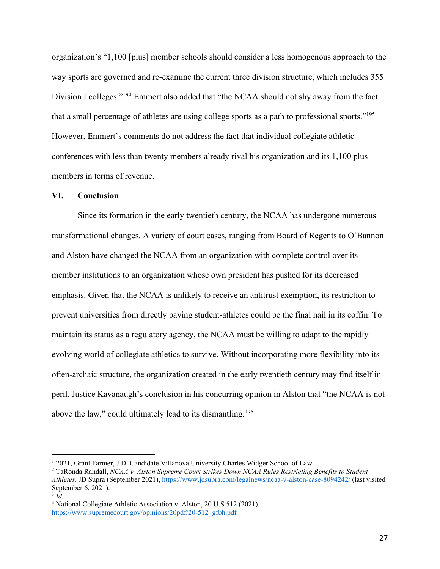organization's "1,100 [plus] member schools should consider a less homogenous approach to the way sports are governed and re-examine the current three division structure, which includes 355 Division I colleges."<sup>194</sup> Emmert also added that "the NCAA should not shy away from the fact that a small percentage of athletes are using college sports as a path to professional sports."195 However, Emmert's comments do not address the fact that individual collegiate athletic conferences with less than twenty members already rival his organization and its 1,100 plus members in terms of revenue.

## **VI. Conclusion**

Since its formation in the early twentieth century, the NCAA has undergone numerous transformational changes. A variety of court cases, ranging from Board of Regents to O'Bannon and Alston have changed the NCAA from an organization with complete control over its member institutions to an organization whose own president has pushed for its decreased emphasis. Given that the NCAA is unlikely to receive an antitrust exemption, its restriction to prevent universities from directly paying student-athletes could be the final nail in its coffin. To maintain its status as a regulatory agency, the NCAA must be willing to adapt to the rapidly evolving world of collegiate athletics to survive. Without incorporating more flexibility into its often-archaic structure, the organization created in the early twentieth century may find itself in peril. Justice Kavanaugh's conclusion in his concurring opinion in Alston that "the NCAA is not above the law," could ultimately lead to its dismantling.<sup>196</sup>

<sup>&</sup>lt;sup>1</sup> 2021, Grant Farmer, J.D. Candidate Villanova University Charles Widger School of Law.

<sup>2</sup> TaRonda Randall, *NCAA v. Alston Supreme Court Strikes Down NCAA Rules Restricting Benefits to Student Athletes,* JD Supra (September 2021), https://www.jdsupra.com/legalnews/ncaa-v-alston-case-8094242/ (last visited September 6, 2021).

 $3 \bar{Id}$ .

**<sup>4</sup>** National Collegiate Athletic Association v. Alston, 20 U.S 512 (2021). https://www.supremecourt.gov/opinions/20pdf/20-512\_gfbh.pdf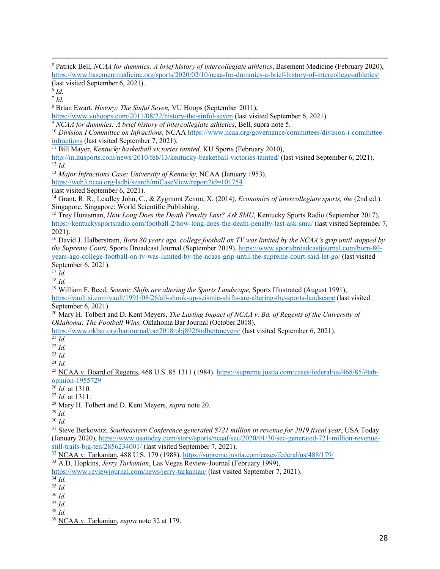<sup>5</sup> Patrick Bell, *NCAA for dummies: A brief history of intercollegiate athletics*, Basement Medicine (February 2020), https://www.basementmedicine.org/sports/2020/02/10/ncaa-for-dummies-a-brief-history-of-intercollege-athletics/ (last visited September 6, 2021).

 $6$  *Id.* 

<sup>7</sup> *Id.*

<sup>8</sup> Brian Ewart, *History: The Sinful Seven,* VU Hoops (September 2011),

https://www.vuhoops.com/2011/08/22/history-the-sinful-seven (last visited September 6, 2021).

<sup>9</sup> *NCAA for dummies: A brief history of intercollegiate athletics*, Bell, supra note 5.

<sup>10</sup> *Division I Committee on Infractions,* NCAA https://www.ncaa.org/governance/committees/division-i-committeeinfractions (last visited September 7, 2021).

<sup>11</sup> Bill Mayer, *Kentucky basketball victories tainted,* KU Sports (February 2010),

http://m.kusports.com/news/2010/feb/13/kentucky-basketball-victories-tainted/ (last visited September 6, 2021).  $\overline{12}$   $\overline{Id}$ .

<sup>13</sup> *Major Infractions Case: University of Kentucky,* NCAA (January 1953),

https://web3.ncaa.org/lsdbi/search/miCaseView/report?id=101754

(last visited September 6, 2021).

<sup>14</sup> Grant, R. R., Leadley John, C., & Zygmont Zenon, X. (2014). *Economics of intercollegiate sports, the* (2nd ed.). Singapore, Singapore: World Scientific Publishing.

<sup>15</sup> Trey Huntsman, *How Long Does the Death Penalty Last? Ask SMU*, Kentucky Sports Radio (September 2017), https://kentuckysportsradio.com/football-2/how-long-does-the-death-penalty-last-ask-smu/ (last visited September 7, 2021).

<sup>16</sup> David J. Halberstram, *Born 80 years ago, college football on TV was limited by the NCAA's grip until stopped by the Supreme Court,* Sports Broadcast Journal (September 2019), https://www.sportsbroadcastjournal.com/born-80 years-ago-college-football-on-tv-was-limited-by-the-ncaas-grip-until-the-supreme-court-said-let-go/ (last visited September 6, 2021).

 $^{17}$   $\tilde{I}$ *d*.

<sup>18</sup> *Id.*

<sup>19</sup> William F. Reed, *Seismic Shifts are altering the Sports Landscape,* Sports Illustrated (August 1991), https://vault.si.com/vault/1991/08/26/all-shook-up-seismic-shifts-are-altering-the-sports-landscape (last visited September 6, 2021).

<sup>20</sup> Mary H. Tolbert and D. Kent Meyers, *The Lasting Impact of NCAA v. Bd. of Regents of the University of Oklahoma: The Football Wins,* Oklahoma Bar Journal (October 2018),

https://www.okbar.org/barjournal/oct2018/obj8926tolbertmeyers/ (last visited September 6, 2021).

 $\overline{\overline{21} \overline{Id}}$ .

 $22$  *Id.* 

<sup>23</sup> *Id.* 

<sup>24</sup> *Id.*

<sup>25</sup> NCAA v. Board of Regents, 468 U.S .85 1311 (1984). https://supreme.justia.com/cases/federal/us/468/85/#tabopinion-1955729

 $\frac{26}{1}$ *Id.* at 1310.

<sup>27</sup> *Id.* at 1311.

<sup>28</sup> Mary H. Tolbert and D. Kent Meyers, *supra* note 20.

<sup>29</sup> *Id.*

<sup>30</sup> *Id.*

<sup>31</sup> Steve Berkowitz, *Southeastern Conference generated \$721 million in revenue for 2019 fiscal year*, USA Today (January 2020), https://www.usatoday.com/story/sports/ncaaf/sec/2020/01/30/sec-generated-721-million-revenuestill-trails-big-ten/2856234001/ (last visited September 7, 2021).

<sup>32</sup> NCAA v. Tarkanian, 488 U.S. 179 (1988). https://supreme.justia.com/cases/federal/us/488/179/

<sup>33</sup> A.D. Hopkins, *Jerry Tarkanian*, Las Vegas Review-Journal (February 1999),

https://www.reviewjournal.com/news/jerry-tarkanian/ (last visited September 7, 2021).

<sup>38</sup> *Id.* 

<sup>34</sup> *Id.*

<sup>35</sup> *Id.*

<sup>36</sup> *Id.*  $37$  *Id.* 

<sup>39</sup> NCAA v. Tarkanian, *supra* note 32 at 179.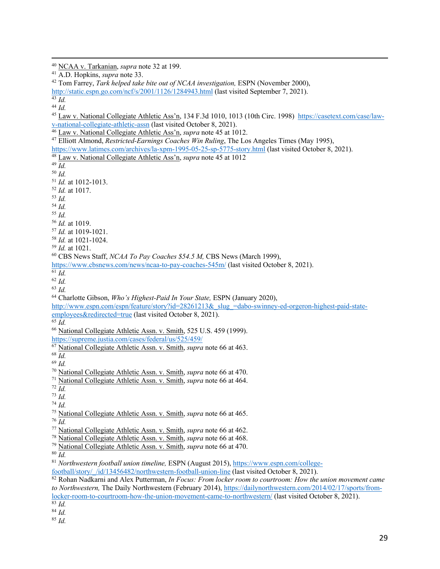NCAA v. Tarkanian, *supra* note 32 at 199.

Tom Farrey, *Tark helped take bite out of NCAA investigation,* ESPN (November 2000),

http://static.espn.go.com/ncf/s/2001/1126/1284943.html (last visited September 7, 2021).

*Id.*

 Law v. National Collegiate Athletic Ass'n, 134 F.3d 1010, 1013 (10th Circ. 1998) https://casetext.com/case/lawv-national-collegiate-athletic-assn (last visited October 8, 2021).

Law v. National Collegiate Athletic Ass'n, *supra* note 45 at 1012.

 Elliott Almond, *Restricted-Earnings Coaches Win Ruling*, The Los Angeles Times (May 1995), https://www.latimes.com/archives/la-xpm-1995-05-25-sp-5775-story.html (last visited October 8, 2021).

Law v. National Collegiate Athletic Ass'n, *supra* note 45 at 1012

*Id.*

*Id.*

*Id.* at 1012-1013.

*Id.* at 1017.

*Id.* 

*Id.*

*Id.*

*Id.* at 1019.

*Id.* at 1019-1021.

*Id.* at 1021-1024.

*Id.* at 1021.

CBS News Staff, *NCAA To Pay Coaches \$54.5 M,* CBS News (March 1999),

https://www.cbsnews.com/news/ncaa-to-pay-coaches-545m/ (last visited October 8, 2021).

 $\overline{61}$  *Id.* 

*Id.*

*Id.* 

Charlotte Gibson, *Who's Highest-Paid In Your State,* ESPN (January 2020),

http://www.espn.com/espn/feature/story?id=28261213&\_slug\_=dabo-swinney-ed-orgeron-highest-paid-state-

employees&redirected=true (last visited October 8, 2021).

*Id.*

National Collegiate Athletic Assn. v. Smith, 525 U.S. 459 (1999).

https://supreme.justia.com/cases/federal/us/525/459/

 $68 \overline{Id}$ .

*Id.*

National Collegiate Athletic Assn. v. Smith, *supra* note 66 at 464.

*Id.*

*Id.*

*Id.*

National Collegiate Athletic Assn. v. Smith, *supra* note 66 at 465.

National Collegiate Athletic Assn. v. Smith, *supra* note 66 at 462.

National Collegiate Athletic Assn. v. Smith, *supra* note 66 at 468.

National Collegiate Athletic Assn. v. Smith, *supra* note 66 at 470.

 $80 \overline{Id}$ .

*Northwestern football union timeline,* ESPN (August 2015), https://www.espn.com/college-

football/story/\_/id/13456482/northwestern-football-union-line (last visited October 8, 2021).

 Rohan Nadkarni and Alex Putterman, *In Focus: From locker room to courtroom: How the union movement came to Northwestern,* The Daily Northwestern (February 2014), https://dailynorthwestern.com/2014/02/17/sports/fromlocker-room-to-courtroom-how-the-union-movement-came-to-northwestern/ (last visited October 8, 2021).

*Id.*

*Id.*

A.D. Hopkins, *supra* note 33.

 $\overline{43}$   $\overline{Id}$ .

National Collegiate Athletic Assn. v. Smith, *supra* note 66 at 463.

National Collegiate Athletic Assn. v. Smith, *supra* note 66 at 470.

*Id.*

 $\overline{^{83}$  *Id.*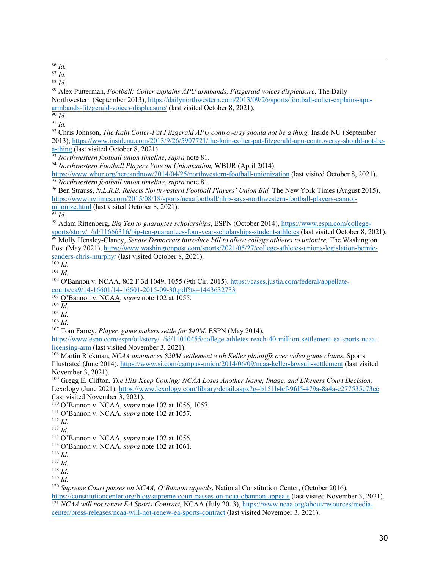<sup>86</sup> *Id.*

<sup>87</sup> *Id.*

<sup>88</sup> *Id.*

<sup>89</sup> Alex Putterman, *Football: Colter explains APU armbands, Fitzgerald voices displeasure,* The Daily Northwestern (September 2013), https://dailynorthwestern.com/2013/09/26/sports/football-colter-explains-apuarmbands-fitzgerald-voices-displeasure/ (last visited October 8, 2021).

 $\overline{90}$  *Id.* 

 $91$  *Id.* 

<sup>92</sup> Chris Johnson, *The Kain Colter-Pat Fitzgerald APU controversy should not be a thing*, Inside NU (September 2013), https://www.insidenu.com/2013/9/26/5907721/the-kain-colter-pat-fitzgerald-apu-controversy-should-not-bea-thing (last visited October 8, 2021).

<sup>93</sup> *Northwestern football union timeline*, *supra* note 81.

<sup>94</sup> *Northwestern Football Players Vote on Unionization,* WBUR (April 2014),

https://www.wbur.org/hereandnow/2014/04/25/northwestern-football-unionization (last visited October 8, 2021). <sup>95</sup> *Northwestern football union timeline*, *supra* note 81.

<sup>96</sup> Ben Strauss, *N.L.R.B. Rejects Northwestern Football Players' Union Bid,* The New York Times (August 2015), https://www.nytimes.com/2015/08/18/sports/ncaafootball/nlrb-says-northwestern-football-players-cannotunionize.html (last visited October 8, 2021).

<sup>97</sup> *Id.*

<sup>98</sup> Adam Rittenberg, *Big Ten to guarantee scholarships*, ESPN (October 2014), https://www.espn.com/collegesports/story/\_/id/11666316/big-ten-guarantees-four-year-scholarships-student-athletes (last visited October 8, 2021).

<sup>99</sup> Molly Hensley-Clancy, *Senate Democrats introduce bill to allow college athletes to unionize*, The Washington Post (May 2021), https://www.washingtonpost.com/sports/2021/05/27/college-athletes-unions-legislation-berniesanders-chris-murphy/ (last visited October 8, 2021).

<sup>100</sup> *Id.*

<sup>101</sup> *Id.*

<sup>102</sup> O'Bannon v. NCAA, 802 F.3d 1049, 1055 (9th Cir. 2015). https://cases.justia.com/federal/appellatecourts/ca9/14-16601/14-16601-2015-09-30.pdf?ts=1443632733

<sup>103</sup> O'Bannon v. NCAA, *supra* note 102 at 1055.

 $104 \overline{Id}$ .

- <sup>105</sup> *Id.*
- <sup>106</sup> *Id.*

<sup>107</sup> Tom Farrey, *Player, game makers settle for \$40M*, ESPN (May 2014),

https://www.espn.com/espn/otl/story/\_/id/11010455/college-athletes-reach-40-million-settlement-ea-sports-ncaalicensing-arm (last visited November 3, 2021).

<sup>108</sup> Martin Rickman, *NCAA announces* \$20M settlement with Keller plaintiffs over video game claims, Sports Illustrated (June 2014), https://www.si.com/campus-union/2014/06/09/ncaa-keller-lawsuit-settlement (last visited November 3, 2021).

<sup>109</sup> Gregg E. Clifton, *The Hits Keep Coming: NCAA Loses Another Name, Image, and Likeness Court Decision,*  Lexology (June 2021), https://www.lexology.com/library/detail.aspx?g=b151b4cf-9fd5-479a-8a4a-e277535e73ee (last visited November 3, 2021).

<sup>110</sup> O'Bannon v. NCAA, *supra* note 102 at 1056, 1057.

<sup>113</sup> *Id.*

<sup>115</sup> O'Bannon v. NCAA, *supra* note 102 at 1061.

<sup>117</sup> *Id.*

<sup>118</sup> *Id.*

<sup>119</sup> *Id.*

<sup>120</sup> *Supreme Court passes on NCAA, O'Bannon appeals*, National Constitution Center, (October 2016),

https://constitutioncenter.org/blog/supreme-court-passes-on-ncaa-obannon-appeals (last visited November 3, 2021). <sup>121</sup> *NCAA will not renew EA Sports Contract,* NCAA (July 2013), https://www.ncaa.org/about/resources/mediacenter/press-releases/ncaa-will-not-renew-ea-sports-contract (last visited November 3, 2021).

<sup>111</sup> O'Bannon v. NCAA, *supra* note 102 at 1057.

<sup>112</sup> *Id.*

<sup>114</sup> O'Bannon v. NCAA, *supra* note 102 at 1056.

 $^{116}$  *Id.*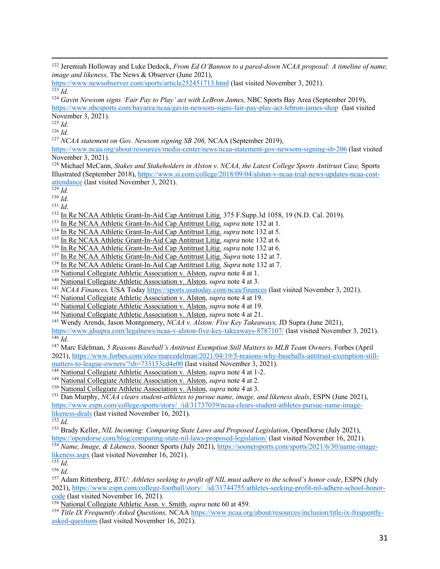November 3, 2021).

<sup>125</sup> *Id*.

<sup>126</sup> *Id.*

<sup>127</sup> *NCAA statement on Gov. Newsom signing SB 206,* NCAA (September 2019),

https://www.ncaa.org/about/resources/media-center/news/ncaa-statement-gov-newsom-signing-sb-206 (last visited November 3, 2021).

<sup>128</sup> Michael McCann, *Stakes and Stakeholders in Alston v. NCAA, the Latest College Sports Antitrust Case,* Sports Illustrated (September 2018), https://www.si.com/college/2018/09/04/alston-v-ncaa-trial-news-updates-ncaa-costattendance (last visited November 3, 2021).

 $\frac{129}{Id}$ .

<sup>131</sup> *Id*.

<sup>132</sup> In Re NCAA Athletic Grant-In-Aid Cap Antitrust Litig. 375 F.Supp.3d 1058, 19 (N.D. Cal. 2019).<br><sup>133</sup> In Re NCAA Athletic Grant-In-Aid Cap Antitrust Litig. *supra* note 132 at 1.

- 
- <sup>134</sup> In Re NCAA Athletic Grant-In-Aid Cap Antitrust Litig. *supra* note 132 at 5.
- <sup>135</sup> In Re NCAA Athletic Grant-In-Aid Cap Antitrust Litig. *supra* note 132 at 6.
- <sup>136</sup> In Re NCAA Athletic Grant-In-Aid Cap Antitrust Litig. *supra* note 132 at 6.
- <sup>137</sup> In Re NCAA Athletic Grant-In-Aid Cap Antitrust Litig. *Supra* note 132 at 7.
- <sup>138</sup> In Re NCAA Athletic Grant-In-Aid Cap Antitrust Litig. *Supra* note 132 at 7.
- <sup>139</sup> National Collegiate Athletic Association v. Alston, *supra* note 4 at 1.
- <sup>140</sup> National Collegiate Athletic Association v. Alston, *supra* note 4 at 3.
- <sup>141</sup> *NCAA Finances*, USA Today https://sports.usatoday.com/ncaa/finances (last visited November 3, 2021).
- <sup>142</sup> National Collegiate Athletic Association v. Alston, *supra* note 4 at 19.
- <sup>143</sup> National Collegiate Athletic Association v. Alston, *supra* note 4 at 19.
- <sup>144</sup> National Collegiate Athletic Association v. Alston, *supra* note 4 at 21.
- <sup>145</sup> Wendy Arends, Jason Montgomery, *NCAA v. Alston: Five Key Takeaways,* JD Supra (June 2021),

https://www.jdsupra.com/legalnews/ncaa-v-alston-five-key-takeaways-8787107/ (last visited November 3, 2021).  $\overline{^{146}}$  *Id*.

<sup>147</sup> Marc Edelman, *5 Reasons Baseball's Antitrust Exemption Still Matters to MLB Team Owners,* Forbes (April 2021), https://www.forbes.com/sites/marcedelman/2021/04/19/5-reasons-why-baseballs-antitrust-exemption-stillmatters-to-league-owners/?sh=733153cd4e00 (last visited November 3, 2021).

<sup>148</sup> National Collegiate Athletic Association v. Alston, *supra* note 4 at 1-2.

- <sup>149</sup> National Collegiate Athletic Association v. Alston, *supra* note 4 at 2.
- <sup>150</sup> National Collegiate Athletic Association v. Alston, *supra* note 4 at 3.

<sup>151</sup> Dan Murphy, *NCAA clears student-athletes to pursue name, image, and likeness deals*, ESPN (June 2021), https://www.espn.com/college-sports/story/\_/id/31737039/ncaa-clears-student-athletes-pursue-name-imagelikeness-deals (last visited November 16, 2021).

<sup>153</sup> Brady Keller, *NIL Incoming: Comparing State Laws and Proposed Legislation*, OpenDorse (July 2021), https://opendorse.com/blog/comparing-state-nil-laws-proposed-legislation/ (last visited November 16, 2021).

<sup>154</sup> *Name, Image, & Likeness,* Sooner Sports (July 2021), https://soonersports.com/sports/2021/6/30/name-imagelikeness.aspx (last visited November 16, 2021).

 $\frac{155}{155}$  *Id.* 

<sup>156</sup> *Id*.

<sup>157</sup> Adam Rittenberg, *BYU: Athletes seeking to profit off NIL must adhere to the school's honor code*, ESPN (July 2021), https://www.espn.com/college-football/story/\_/id/31744755/athletes-seeking-profit-nil-adhere-school-honorcode (last visited November 16, 2021).

<sup>158</sup> National Collegiate Athletic Assn. v. Smith, *supra* note 60 at 459.

<sup>159</sup> *Title IX Frequently Asked Questions,* NCAA https://www.ncaa.org/about/resources/inclusion/title-ix-frequentlyasked-questions (last visited November 16, 2021).

<sup>&</sup>lt;sup>122</sup> Jeremiah Holloway and Luke Dedock, *From Ed O'Bannon to a pared-down NCAA proposal: A timeline of name, image and likeness,* The News & Observer (June 2021),

https://www.newsobserver.com/sports/article252451713.html (last visited November 3, 2021).  $123$  *Id.* 

<sup>&</sup>lt;sup>124</sup> *Gavin Newsom signs 'Fair Pay to Play' act with LeBron James, NBC Sports Bay Area (September 2019),* https://www.nbcsports.com/bayarea/ncaa/gavin-newsom-signs-fair-pay-play-act-lebron-james-shop (last visited

<sup>130</sup> *Id*.

 $\frac{152}{152}$  *Id.*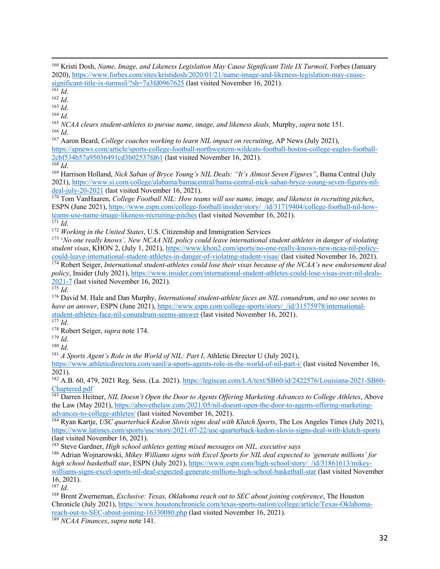<sup>163</sup> *Id*.

<sup>164</sup> *Id*. 165 *NCAA clears student-athletes to pursue name, image, and likeness deals,* Murphy, *supra* note 151. <sup>166</sup> *Id*.

<sup>167</sup> Aaron Beard, *College coaches working to learn NIL impact on recruiting*, AP News (July 2021), https://apnews.com/article/sports-college-football-northwestern-wildcats-football-boston-college-eagles-football-

2cbf534b57a95036491cd3b02537fd61 (last visited November 16, 2021).

<sup>168</sup> *Id*.

<sup>169</sup> Harrison Holland, *Nick Saban of Bryce Young's NIL Deals: "It's Almost Seven Figures"*, Bama Central (July 2021), https://www.si.com/college/alabama/bamacentral/bama-central-nick-saban-bryce-young-seven-figures-nildeal-july-20-2021 (last visited November 16, 2021).

<sup>170</sup> Tom VanHaaren, *College Football NIL: How teams will use name, image, and likeness in recruiting pitches*, ESPN (June 2021), https://www.espn.com/college-football/insider/story/\_/id/31719404/college-football-nil-howteams-use-name-image-likeness-recruiting-pitches (last visited November 16, 2021).

 $\overline{171}$  *Id.* 

<sup>172</sup> *Working in the United States*, U.S. Citizenship and Immigration Services

<sup>173</sup> '*No one really knows', New NCAA NIL policy could leave international student athletes in danger of violating student visas*, KHON 2, (July 1, 2021), https://www.khon2.com/sports/no-one-really-knows-new-ncaa-nil-policycould-leave-international-student-athletes-in-danger-of-violating-student-visas/ (last visited November 16, 2021).

<sup>174</sup> Robert Seiger, *International student-athletes could lose their visas because of the NCAA's new endorsement deal policy*, Insider (July 2021), https://www.insider.com/international-student-athletes-could-lose-visas-over-nil-deals-2021-7 (last visited November 16, 2021). <sup>175</sup> *Id*.

<sup>176</sup> David M. Hale and Dan Murphy, *International student-athlete faces an NIL conundrum, and no one seems to have an answer*, ESPN (June 2021), https://www.espn.com/college-sports/story/\_/id/31575978/internationalstudent-athletes-face-nil-conundrum-seems-answer (last visited November 16, 2021).

 $\overline{\hbox{177}\,Id.}$ 

<sup>178</sup> Robert Seiger, *supra* note 174.

<sup>179</sup> *Id*.

<sup>180</sup> *Id*.

<sup>181</sup> *A Sports Agent's Role in the World of NIL: Part I*, Athletic Director U (July 2021),

https://www.athleticdirectoru.com/sanil/a-sports-agents-role-in-the-world-of-nil-part-i/ (last visited November 16, 2021).

<sup>182</sup> A.B. 60, 479, 2021 Reg. Sess. (La. 2021). https://legiscan.com/LA/text/SB60/id/2422576/Louisiana-2021-SB60- Chaptered.pdf

<sup>183</sup> Darren Heitner, *NIL Doesn't Open the Door to Agents Offering Marketing Advances to College Athletes*, Above the Law (May 2021), https://abovethelaw.com/2021/05/nil-doesnt-open-the-door-to-agents-offering-marketingadvances-to-college-athletes/ (last visited November 16, 2021).

<sup>184</sup> Ryan Kartje, *USC quarterback Kedon Slovis signs deal with Klutch Sports*, The Los Angeles Times (July 2021), https://www.latimes.com/sports/usc/story/2021-07-22/usc-quarterback-kedon-slovis-signs-deal-with-klutch-sports (last visited November 16, 2021).

<sup>185</sup> Steve Gardner, *High school athletes getting mixed messages on NIL, executive says* 

<sup>186</sup> Adrian Wojnarowski, *Mikey Williams signs with Excel Sports for NIL deal expected to 'generate millions' for high school basketball star*, ESPN (July 2021), https://www.espn.com/high-school/story/\_/id/31861613/mikeywilliams-signs-excel-sports-nil-deal-expected-generate-millions-high-school-basketball-star (last visited November 16, 2021).

<sup>187</sup> *Id*.

<sup>188</sup> Brent Zwerneman, *Exclusive: Texas, Oklahoma reach out to SEC about joining conference*, The Houston Chronicle (July 2021), https://www.houstonchronicle.com/texas-sports-nation/college/article/Texas-Oklahomareach-out-to-SEC-about-joining-16330080.php (last visited November 16, 2021).

<sup>189</sup> *NCAA Finances*, *supra* note 141.

<sup>&</sup>lt;sup>160</sup> Kristi Dosh, *Name, Image, and Likeness Legislation May Cause Significant Title IX Turmoil, Forbes (January* 2020), https://www.forbes.com/sites/kristidosh/2020/01/21/name-image-and-likeness-legislation-may-causesignificant-title-ix-turmoil/?sh=7a3fd0967625 (last visited November 16, 2021).

<sup>161</sup> *Id*.

<sup>162</sup> *Id*.